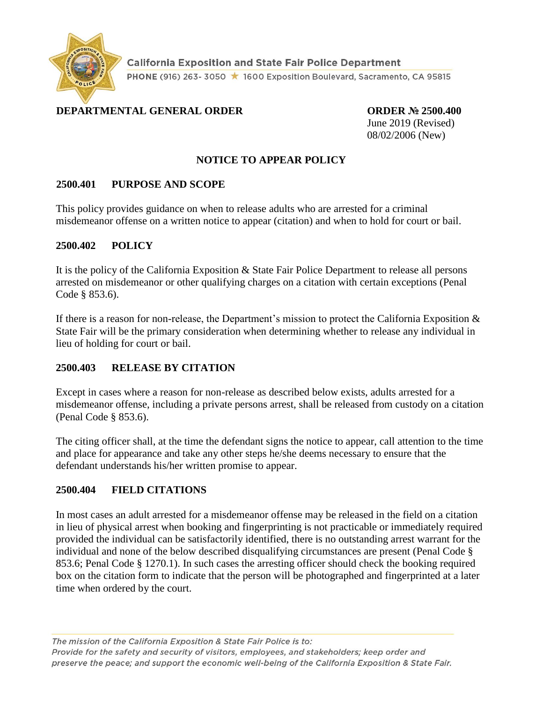

**California Exposition and State Fair Police Department** PHONE (916) 263-3050 ★ 1600 Exposition Boulevard, Sacramento, CA 95815

# **DEPARTMENTAL GENERAL ORDER ORDER № 2500.400**

June 2019 (Revised) 08/02/2006 (New)

### **NOTICE TO APPEAR POLICY**

### **2500.401 PURPOSE AND SCOPE**

This policy provides guidance on when to release adults who are arrested for a criminal misdemeanor offense on a written notice to appear (citation) and when to hold for court or bail.

### **2500.402 POLICY**

It is the policy of the California Exposition & State Fair Police Department to release all persons arrested on misdemeanor or other qualifying charges on a citation with certain exceptions (Penal Code § 853.6).

If there is a reason for non-release, the Department's mission to protect the California Exposition  $\&$ State Fair will be the primary consideration when determining whether to release any individual in lieu of holding for court or bail.

## **2500.403 RELEASE BY CITATION**

Except in cases where a reason for non-release as described below exists, adults arrested for a misdemeanor offense, including a private persons arrest, shall be released from custody on a citation (Penal Code § 853.6).

The citing officer shall, at the time the defendant signs the notice to appear, call attention to the time and place for appearance and take any other steps he/she deems necessary to ensure that the defendant understands his/her written promise to appear.

## **2500.404 FIELD CITATIONS**

In most cases an adult arrested for a misdemeanor offense may be released in the field on a citation in lieu of physical arrest when booking and fingerprinting is not practicable or immediately required provided the individual can be satisfactorily identified, there is no outstanding arrest warrant for the individual and none of the below described disqualifying circumstances are present (Penal Code § 853.6; Penal Code § 1270.1). In such cases the arresting officer should check the booking required box on the citation form to indicate that the person will be photographed and fingerprinted at a later time when ordered by the court.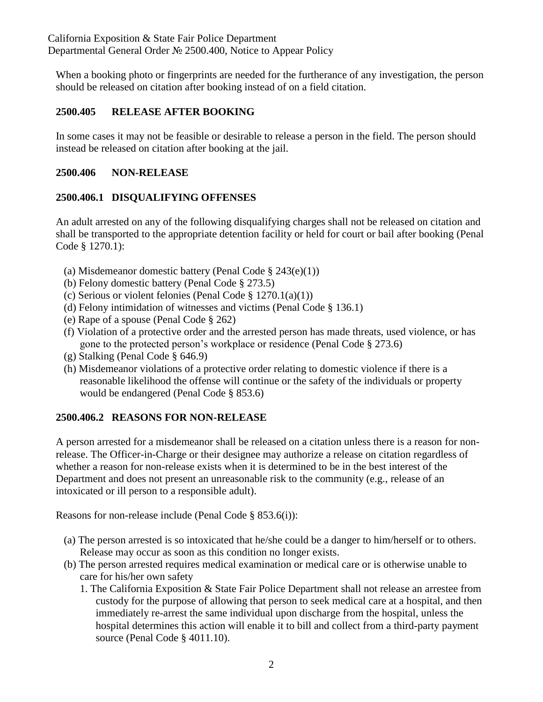When a booking photo or fingerprints are needed for the furtherance of any investigation, the person should be released on citation after booking instead of on a field citation.

## **2500.405 RELEASE AFTER BOOKING**

In some cases it may not be feasible or desirable to release a person in the field. The person should instead be released on citation after booking at the jail.

### **2500.406 NON-RELEASE**

## **2500.406.1 DISQUALIFYING OFFENSES**

An adult arrested on any of the following disqualifying charges shall not be released on citation and shall be transported to the appropriate detention facility or held for court or bail after booking (Penal Code § 1270.1):

- (a) Misdemeanor domestic battery (Penal Code § 243(e)(1))
- (b) Felony domestic battery (Penal Code § 273.5)
- (c) Serious or violent felonies (Penal Code § 1270.1(a)(1))
- (d) Felony intimidation of witnesses and victims (Penal Code § 136.1)
- (e) Rape of a spouse (Penal Code § 262)
- (f) Violation of a protective order and the arrested person has made threats, used violence, or has gone to the protected person's workplace or residence (Penal Code § 273.6)
- (g) Stalking (Penal Code § 646.9)
- (h) Misdemeanor violations of a protective order relating to domestic violence if there is a reasonable likelihood the offense will continue or the safety of the individuals or property would be endangered (Penal Code § 853.6)

## **2500.406.2 REASONS FOR NON-RELEASE**

A person arrested for a misdemeanor shall be released on a citation unless there is a reason for nonrelease. The Officer-in-Charge or their designee may authorize a release on citation regardless of whether a reason for non-release exists when it is determined to be in the best interest of the Department and does not present an unreasonable risk to the community (e.g., release of an intoxicated or ill person to a responsible adult).

Reasons for non-release include (Penal Code § 853.6(i)):

- (a) The person arrested is so intoxicated that he/she could be a danger to him/herself or to others. Release may occur as soon as this condition no longer exists.
- (b) The person arrested requires medical examination or medical care or is otherwise unable to care for his/her own safety
	- 1. The California Exposition & State Fair Police Department shall not release an arrestee from custody for the purpose of allowing that person to seek medical care at a hospital, and then immediately re-arrest the same individual upon discharge from the hospital, unless the hospital determines this action will enable it to bill and collect from a third-party payment source (Penal Code § 4011.10).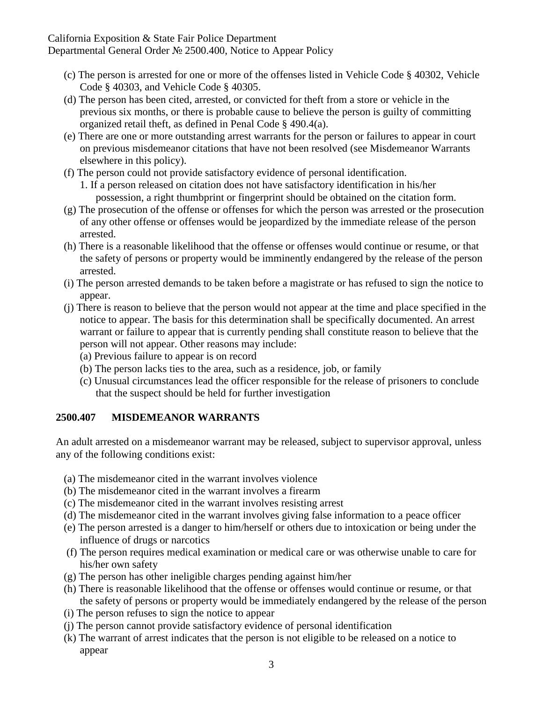California Exposition & State Fair Police Department Departmental General Order № 2500.400, Notice to Appear Policy

- (c) The person is arrested for one or more of the offenses listed in Vehicle Code § 40302, Vehicle Code § 40303, and Vehicle Code § 40305.
- (d) The person has been cited, arrested, or convicted for theft from a store or vehicle in the previous six months, or there is probable cause to believe the person is guilty of committing organized retail theft, as defined in Penal Code § 490.4(a).
- (e) There are one or more outstanding arrest warrants for the person or failures to appear in court on previous misdemeanor citations that have not been resolved (see Misdemeanor Warrants elsewhere in this policy).
- (f) The person could not provide satisfactory evidence of personal identification.
	- 1. If a person released on citation does not have satisfactory identification in his/her possession, a right thumbprint or fingerprint should be obtained on the citation form.
- (g) The prosecution of the offense or offenses for which the person was arrested or the prosecution of any other offense or offenses would be jeopardized by the immediate release of the person arrested.
- (h) There is a reasonable likelihood that the offense or offenses would continue or resume, or that the safety of persons or property would be imminently endangered by the release of the person arrested.
- (i) The person arrested demands to be taken before a magistrate or has refused to sign the notice to appear.
- (j) There is reason to believe that the person would not appear at the time and place specified in the notice to appear. The basis for this determination shall be specifically documented. An arrest warrant or failure to appear that is currently pending shall constitute reason to believe that the person will not appear. Other reasons may include:
	- (a) Previous failure to appear is on record
	- (b) The person lacks ties to the area, such as a residence, job, or family
	- (c) Unusual circumstances lead the officer responsible for the release of prisoners to conclude that the suspect should be held for further investigation

### **2500.407 MISDEMEANOR WARRANTS**

An adult arrested on a misdemeanor warrant may be released, subject to supervisor approval, unless any of the following conditions exist:

- (a) The misdemeanor cited in the warrant involves violence
- (b) The misdemeanor cited in the warrant involves a firearm
- (c) The misdemeanor cited in the warrant involves resisting arrest
- (d) The misdemeanor cited in the warrant involves giving false information to a peace officer
- (e) The person arrested is a danger to him/herself or others due to intoxication or being under the influence of drugs or narcotics
- (f) The person requires medical examination or medical care or was otherwise unable to care for his/her own safety
- (g) The person has other ineligible charges pending against him/her
- (h) There is reasonable likelihood that the offense or offenses would continue or resume, or that the safety of persons or property would be immediately endangered by the release of the person
- (i) The person refuses to sign the notice to appear
- (j) The person cannot provide satisfactory evidence of personal identification
- (k) The warrant of arrest indicates that the person is not eligible to be released on a notice to appear